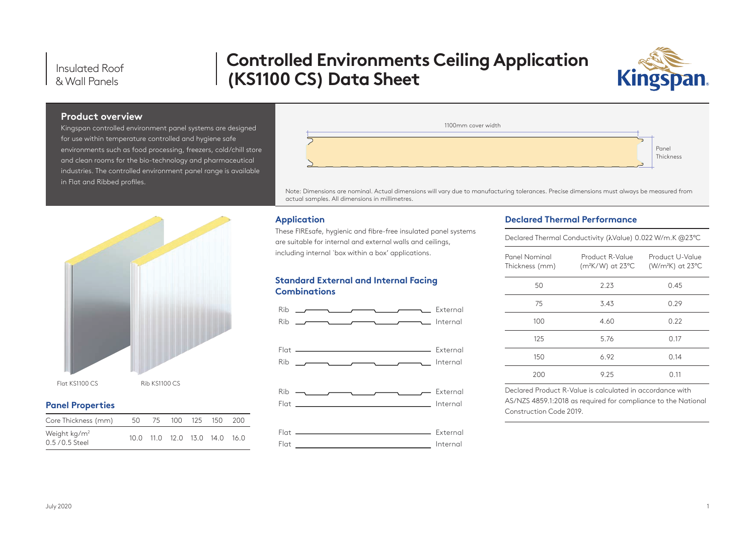Insulated Roof & Wall Panels

# **Controlled Environments Ceiling Application (KS1100 CS) Data Sheet**



## **Product overview**

Kingspan controlled environment panel systems are designed for use within temperature controlled and hygiene safe environments such as food processing, freezers, cold/chill store and clean rooms for the bio-technology and pharmaceutical industries. The controlled environment panel range is available in Flat and Ribbed profiles.



Note: Dimensions are nominal. Actual dimensions will vary due to manufacturing tolerances. Precise dimensions must always be measured from actual samples. All dimensions in millimetres.



## **Panel Properties**

| Core Thickness (mm)                         | 50. | 75 |  | 100 125 150 200               |  |
|---------------------------------------------|-----|----|--|-------------------------------|--|
| Weight kg/m <sup>2</sup><br>$0.5/0.5$ Steel |     |    |  | 10.0 11.0 12.0 13.0 14.0 16.0 |  |

## **Application**

These FIREsafe, hygienic and fibre-free insulated panel systems are suitable for internal and external walls and ceilings, including internal `box within a box' applications.

## **Standard External and Internal Facing Combinations**

| Rib <del>______________________</del> ______<br>Rib <del>representative and the contract</del> internal                                                                                                                        | <b>Letternal</b>     |
|--------------------------------------------------------------------------------------------------------------------------------------------------------------------------------------------------------------------------------|----------------------|
| Flat <u>- External</u><br>Rib _________________________________ Internal                                                                                                                                                       |                      |
|                                                                                                                                                                                                                                | External<br>Internal |
| Flat the contract of the contract of the contract of the contract of the contract of the contract of the contract of the contract of the contract of the contract of the contract of the contract of the contract of the contr | Internal             |

## **Declared Thermal Performance**

Declared Thermal Conductivity (λValue) 0.022 W/m.K @23°C

| Panel Nominal<br>Thickness (mm) | Product R-Value<br>(m <sup>2</sup> K/W) at 23 °C | Product U-Value<br>(W/m <sup>2</sup> K) at $23^{\circ}$ C |
|---------------------------------|--------------------------------------------------|-----------------------------------------------------------|
| 50                              | 2.23                                             | 0.45                                                      |
| 75                              | 3.43                                             | 0.29                                                      |
| 100                             | 4.60                                             | 0.22                                                      |
| 125                             | 5.76                                             | 0.17                                                      |
| 150                             | 6.92                                             | 0.14                                                      |
| 200                             | 9.25                                             | N 11                                                      |

Declared Product R-Value is calculated in accordance with AS/NZS 4859.1:2018 as required for compliance to the National Construction Code 2019.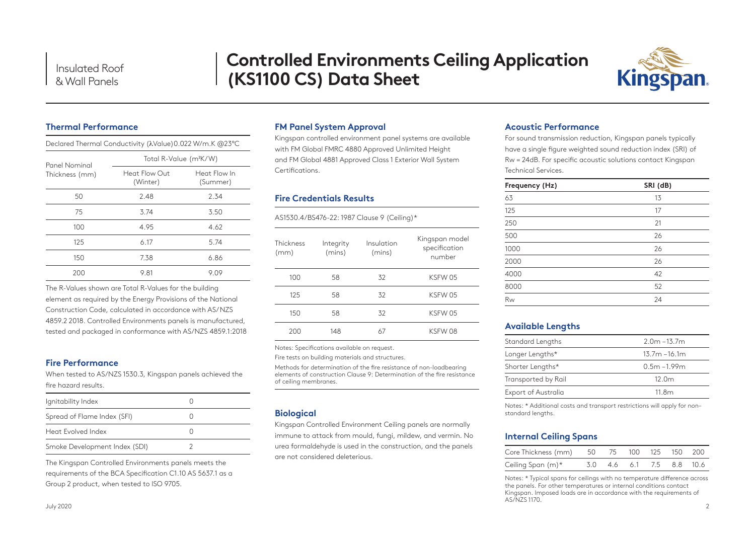# **Controlled Environments Ceiling Application (KS1100 CS) Data Sheet**



# **Thermal Performance**

| Panel Nominal  | Total R-Value (m <sup>2</sup> K/W) |                          |  |  |  |  |  |  |  |
|----------------|------------------------------------|--------------------------|--|--|--|--|--|--|--|
| Thickness (mm) | Heat Flow Out<br>(Winter)          | Heat Flow In<br>(Summer) |  |  |  |  |  |  |  |
| 50             | 2.48                               | 2.34                     |  |  |  |  |  |  |  |
| 75             | 3.74                               | 3.50                     |  |  |  |  |  |  |  |
| 100            | 4.95                               | 4.62                     |  |  |  |  |  |  |  |
| 125            | 6.17                               | 5.74                     |  |  |  |  |  |  |  |
| 150            | 7.38                               | 6.86                     |  |  |  |  |  |  |  |
| 200            | 9.81                               | 9.09                     |  |  |  |  |  |  |  |

The R-Values shown are Total R-Values for the building element as required by the Energy Provisions of the National Construction Code, calculated in accordance with AS/ NZS 4859.2 2018. Controlled Environments panels is manufactured, tested and packaged in conformance with AS/NZS 4859.1:2018

# **Fire Performance**

When tested to AS/NZS 1530.3, Kingspan panels achieved the fire hazard results.

| Ignitability Index            |  |
|-------------------------------|--|
| Spread of Flame Index (SFI)   |  |
| Heat Evolved Index            |  |
| Smoke Development Index (SDI) |  |

The Kingspan Controlled Environments panels meets the requirements of the BCA Specification C1.10 AS 5637.1 as a Group 2 product, when tested to ISO 9705.

## **FM Panel System Approval**

Kingspan controlled environment panel systems are available with FM Global FMRC 4880 Approved Unlimited Height and FM Global 4881 Approved Class 1 Exterior Wall System Certifications.

# **Fire Credentials Results**

 $AC1530.4/BC174.22: 1007 Cl_{71122} 0.1097$ 

| AUIJJU. <del>4</del> /DJ4/0-ZZ.170/ Cluuse 7 (Celling) |                     |                      |                                           |  |  |  |  |  |  |  |
|--------------------------------------------------------|---------------------|----------------------|-------------------------------------------|--|--|--|--|--|--|--|
| Thickness<br>(mm)                                      | Integrity<br>(mins) | Insulation<br>(mins) | Kingspan model<br>specification<br>number |  |  |  |  |  |  |  |
| 100                                                    | 58                  | 32                   | KSFW 05                                   |  |  |  |  |  |  |  |
| 125                                                    | 58                  | 32                   | KSFW 05                                   |  |  |  |  |  |  |  |
| 150                                                    | 58                  | 32                   | KSFW 05                                   |  |  |  |  |  |  |  |
| 200                                                    | 148                 | 67                   | KSFW08                                    |  |  |  |  |  |  |  |

Notes: Specifications available on request.

Fire tests on building materials and structures.

Methods for determination of the fire resistance of non-loadbearing elements of construction Clause 9: Determination of the fire resistance of ceiling membranes.

# **Biological**

Kingspan Controlled Environment Ceiling panels are normally immune to attack from mould, fungi, mildew, and vermin. No urea formaldehyde is used in the construction, and the panels are not considered deleterious.

## **Acoustic Performance**

For sound transmission reduction, Kingspan panels typically have a single figure weighted sound reduction index (SRI) of Rw = 24dB. For specific acoustic solutions contact Kingspan Technical Services.

| Frequency (Hz) | SRI (dB) |
|----------------|----------|
| 63             | 13       |
| 125            | 17       |
| 250            | 21       |
| 500            | 26       |
| 1000           | 26       |
| 2000           | 26       |
| 4000           | 42       |
| 8000           | 52       |
| Rw             | 24       |

# **Available Lengths**

| $2.0m - 13.7m$    |
|-------------------|
| $13.7m - 16.1m$   |
| $0.5m - 1.99m$    |
| 12.0 <sub>m</sub> |
| 11.8m             |
|                   |

Notes: \* Additional costs and transport restrictions will apply for non– standard lengths.

# **Internal Ceiling Spans**

| Core Thickness (mm) 50 75 100 125 150 200 |  |                          |  |  |
|-------------------------------------------|--|--------------------------|--|--|
| Ceiling Span (m)*                         |  | 3.0 4.6 6.1 7.5 8.8 10.6 |  |  |

Notes: \* Typical spans for ceilings with no temperature difference across the panels. For other temperatures or internal conditions contact Kingspan. Imposed loads are in accordance with the requirements of AS/NZS 1170.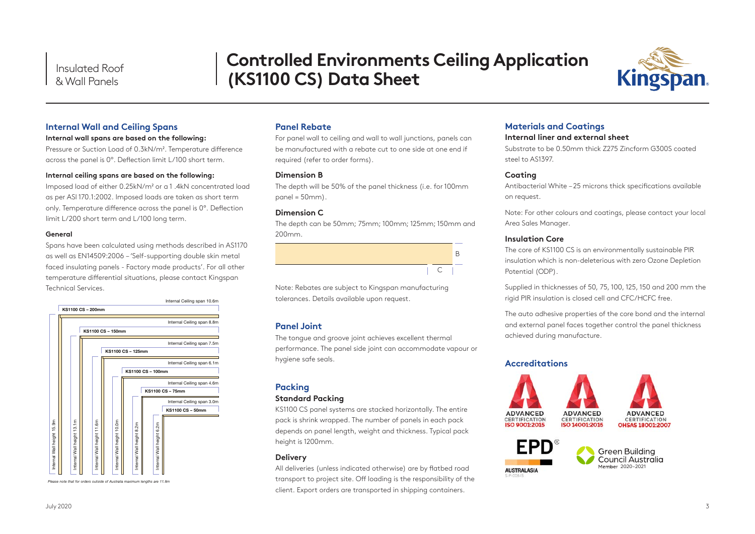Insulated Roof & Wall Panels

# **Controlled Environments Ceiling Application (KS1100 CS) Data Sheet**



## **Internal Wall and Ceiling Spans**

**Internal wall spans are based on the following:**

Pressure or Suction Load of 0.3kN/m2. Temperature difference across the panel is 0º. Deflection limit L/100 short term.

#### **Internal ceiling spans are based on the following:**

Imposed load of either 0.25kN/m2 or a 1 .4kN concentrated load as per ASl 170.1:2002. Imposed loads are taken as short term only. Temperature difference across the panel is 0º. Deflection limit L/200 short term and L/100 long term.

#### **General**

Spans have been calculated using methods described in AS1170 as well as EN14509:2006 – 'Self-supporting double skin metal faced insulating panels - Factory made products'. For all other temperature differential situations, please contact Kingspan Technical Services.



## **Panel Rebate**

For panel wall to ceiling and wall to wall junctions, panels can be manufactured with a rebate cut to one side at one end if required (refer to order forms).

## **Dimension B**

The depth will be 50% of the panel thickness (i.e. for 100mm panel = 50mm).

## **Dimension C**

The depth can be 50mm; 75mm; 100mm; 125mm; 150mm and 200mm.



Note: Rebates are subject to Kingspan manufacturing tolerances. Details available upon request.

## **Panel Joint**

The tongue and groove joint achieves excellent thermal performance. The panel side joint can accommodate vapour or hygiene safe seals.

# **Packing**

## **Standard Packing**

KS1100 CS panel systems are stacked horizontally. The entire pack is shrink wrapped. The number of panels in each pack depends on panel length, weight and thickness. Typical pack height is 1200mm.

## **Delivery**

All deliveries (unless indicated otherwise) are by flatbed road transport to project site. Off loading is the responsibility of the client. Export orders are transported in shipping containers.

## **Materials and Coatings**

## **Internal liner and external sheet**

Substrate to be 0.50mm thick Z275 Zincform G300S coated steel to AS1397.

## **Coating**

Antibacterial White – 25 microns thick specifications available on request.

Note: For other colours and coatings, please contact your local Area Sales Manager.

## **Insulation Core**

The core of KS1100 CS is an environmentally sustainable PIR insulation which is non-deleterious with zero Ozone Depletion Potential (ODP).

Supplied in thicknesses of 50, 75, 100, 125, 150 and 200 mm the rigid PIR insulation is closed cell and CFC/HCFC free.

The auto adhesive properties of the core bond and the internal and external panel faces together control the panel thickness achieved during manufacture.

## **Accreditations**